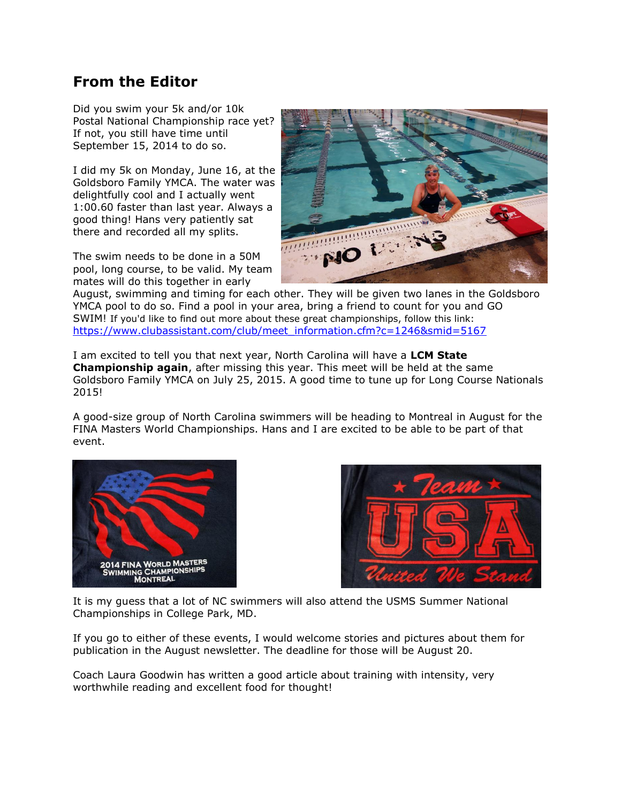## **From the Editor**

Did you swim your 5k and/or 10k Postal National Championship race yet? If not, you still have time until September 15, 2014 to do so.

I did my 5k on Monday, June 16, at the Goldsboro Family YMCA. The water was delightfully cool and I actually went 1:00.60 faster than last year. Always a good thing! Hans very patiently sat there and recorded all my splits.

The swim needs to be done in a 50M pool, long course, to be valid. My team mates will do this together in early



August, swimming and timing for each other. They will be given two lanes in the Goldsboro YMCA pool to do so. Find a pool in your area, bring a friend to count for you and GO SWIM! If you'd like to find out more about these great championships, follow this link: [https://www.clubassistant.com/club/meet\\_information.cfm?c=1246&smid=5167](https://www.clubassistant.com/club/meet_information.cfm?c=1246&smid=5167)

I am excited to tell you that next year, North Carolina will have a **LCM State Championship again**, after missing this year. This meet will be held at the same Goldsboro Family YMCA on July 25, 2015. A good time to tune up for Long Course Nationals 2015!

A good-size group of North Carolina swimmers will be heading to Montreal in August for the FINA Masters World Championships. Hans and I are excited to be able to be part of that event.





It is my guess that a lot of NC swimmers will also attend the USMS Summer National Championships in College Park, MD.

If you go to either of these events, I would welcome stories and pictures about them for publication in the August newsletter. The deadline for those will be August 20.

Coach Laura Goodwin has written a good article about training with intensity, very worthwhile reading and excellent food for thought!